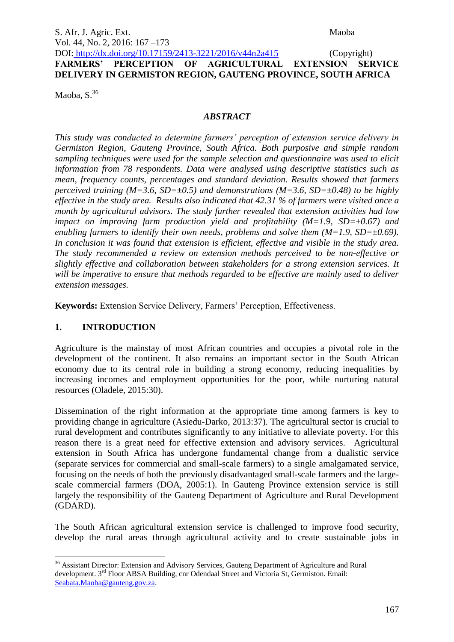**DELIVERY IN GERMISTON REGION, GAUTENG PROVINCE, SOUTH AFRICA**

Maoba,  $S^{36}$ 

## *ABSTRACT*

*This study was conducted to determine farmers' perception of extension service delivery in Germiston Region, Gauteng Province, South Africa. Both purposive and simple random sampling techniques were used for the sample selection and questionnaire was used to elicit information from 78 respondents. Data were analysed using descriptive statistics such as mean, frequency counts, percentages and standard deviation. Results showed that farmers perceived training (M=3.6, SD=* $\pm$ *0.5) and demonstrations (M=3.6, SD=* $\pm$ *0.48) to be highly effective in the study area. Results also indicated that 42.31 % of farmers were visited once a month by agricultural advisors. The study further revealed that extension activities had low impact on improving farm production yield and profitability (M=1.9, SD=±0.67) and enabling farmers to identify their own needs, problems and solve them (M=1.9, SD=±0.69). In conclusion it was found that extension is efficient, effective and visible in the study area. The study recommended a review on extension methods perceived to be non-effective or slightly effective and collaboration between stakeholders for a strong extension services. It will be imperative to ensure that methods regarded to be effective are mainly used to deliver extension messages.*

**Keywords:** Extension Service Delivery, Farmers' Perception, Effectiveness.

## **1. INTRODUCTION**

<u>.</u>

Agriculture is the mainstay of most African countries and occupies a pivotal role in the development of the continent. It also remains an important sector in the South African economy due to its central role in building a strong economy, reducing inequalities by increasing incomes and employment opportunities for the poor, while nurturing natural resources (Oladele, 2015:30).

Dissemination of the right information at the appropriate time among farmers is key to providing change in agriculture (Asiedu-Darko, 2013:37). The agricultural sector is crucial to rural development and contributes significantly to any initiative to alleviate poverty. For this reason there is a great need for effective extension and advisory services. Agricultural extension in South Africa has undergone fundamental change from a dualistic service (separate services for commercial and small-scale farmers) to a single amalgamated service, focusing on the needs of both the previously disadvantaged small-scale farmers and the largescale commercial farmers (DOA, 2005:1). In Gauteng Province extension service is still largely the responsibility of the Gauteng Department of Agriculture and Rural Development (GDARD).

The South African agricultural extension service is challenged to improve food security, develop the rural areas through agricultural activity and to create sustainable jobs in

<sup>&</sup>lt;sup>36</sup> Assistant Director: Extension and Advisory Services, Gauteng Department of Agriculture and Rural development. 3<sup>rd</sup> Floor ABSA Building, cnr Odendaal Street and Victoria St, Germiston. Email: [Seabata.Maoba@gauteng.gov.za.](mailto:Seabata.Maoba@gauteng.gov.za)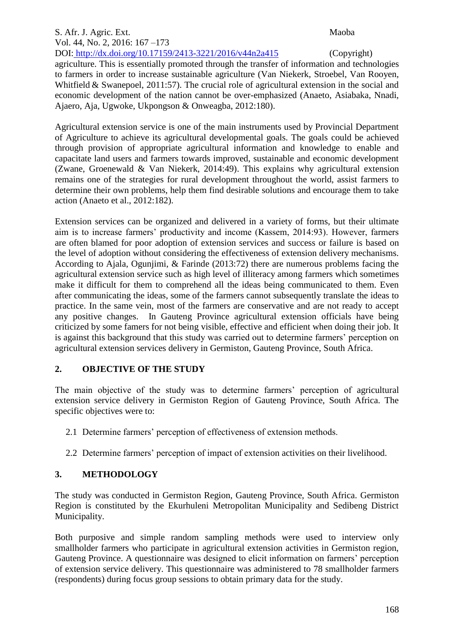#### S. Afr. J. Agric. Ext. Maoba Vol. 44, No. 2, 2016: 167 –173 DOI: http://dx.doi.org/10.17159/2413-3221/2016/v44n2a415 (Copyright)

agriculture. This is essentially promoted through the transfer of information and technologies to farmers in order to increase sustainable agriculture (Van Niekerk, Stroebel, Van Rooyen, Whitfield & Swanepoel, 2011:57). The crucial role of agricultural extension in the social and economic development of the nation cannot be over-emphasized (Anaeto, Asiabaka, Nnadi, Ajaero, Aja, Ugwoke, Ukpongson & Onweagba, 2012:180).

Agricultural extension service is one of the main instruments used by Provincial Department of Agriculture to achieve its agricultural developmental goals. The goals could be achieved through provision of appropriate agricultural information and knowledge to enable and capacitate land users and farmers towards improved, sustainable and economic development (Zwane, Groenewald & Van Niekerk, 2014:49). This explains why agricultural extension remains one of the strategies for rural development throughout the world, assist farmers to determine their own problems, help them find desirable solutions and encourage them to take action (Anaeto et al., 2012:182).

Extension services can be organized and delivered in a variety of forms, but their ultimate aim is to increase farmers' productivity and income (Kassem, 2014:93). However, farmers are often blamed for poor adoption of extension services and success or failure is based on the level of adoption without considering the effectiveness of extension delivery mechanisms. According to Ajala, Ogunjimi, & Farinde (2013:72) there are numerous problems facing the agricultural extension service such as high level of illiteracy among farmers which sometimes make it difficult for them to comprehend all the ideas being communicated to them. Even after communicating the ideas, some of the farmers cannot subsequently translate the ideas to practice. In the same vein, most of the farmers are conservative and are not ready to accept any positive changes. In Gauteng Province agricultural extension officials have being criticized by some famers for not being visible, effective and efficient when doing their job. It is against this background that this study was carried out to determine farmers' perception on agricultural extension services delivery in Germiston, Gauteng Province, South Africa.

# **2. OBJECTIVE OF THE STUDY**

The main objective of the study was to determine farmers' perception of agricultural extension service delivery in Germiston Region of Gauteng Province, South Africa. The specific objectives were to:

- 2.1 Determine farmers' perception of effectiveness of extension methods.
- 2.2 Determine farmers' perception of impact of extension activities on their livelihood.

## **3. METHODOLOGY**

The study was conducted in Germiston Region, Gauteng Province, South Africa. Germiston Region is constituted by the Ekurhuleni Metropolitan Municipality and Sedibeng District Municipality.

Both purposive and simple random sampling methods were used to interview only smallholder farmers who participate in agricultural extension activities in Germiston region, Gauteng Province. A questionnaire was designed to elicit information on farmers' perception of extension service delivery. This questionnaire was administered to 78 smallholder farmers (respondents) during focus group sessions to obtain primary data for the study.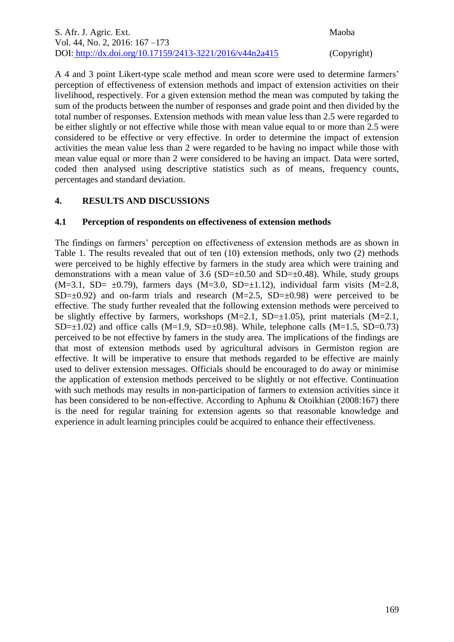A 4 and 3 point Likert-type scale method and mean score were used to determine farmers' perception of effectiveness of extension methods and impact of extension activities on their livelihood, respectively. For a given extension method the mean was computed by taking the sum of the products between the number of responses and grade point and then divided by the total number of responses. Extension methods with mean value less than 2.5 were regarded to be either slightly or not effective while those with mean value equal to or more than 2.5 were considered to be effective or very effective. In order to determine the impact of extension activities the mean value less than 2 were regarded to be having no impact while those with mean value equal or more than 2 were considered to be having an impact. Data were sorted, coded then analysed using descriptive statistics such as of means, frequency counts, percentages and standard deviation.

## **4. RESULTS AND DISCUSSIONS**

## **4.1 Perception of respondents on effectiveness of extension methods**

The findings on farmers' perception on effectiveness of extension methods are as shown in Table 1. The results revealed that out of ten (10) extension methods, only two (2) methods were perceived to be highly effective by farmers in the study area which were training and demonstrations with a mean value of 3.6 (SD= $\pm$ 0.50 and SD= $\pm$ 0.48). While, study groups  $(M=3.1, SD= \pm 0.79)$ , farmers days  $(M=3.0, SD= \pm 1.12)$ , individual farm visits  $(M=2.8,$  $SD=\pm 0.92$ ) and on-farm trials and research  $(M=2.5, SD=\pm 0.98)$  were perceived to be effective. The study further revealed that the following extension methods were perceived to be slightly effective by farmers, workshops  $(M=2.1, SD=±1.05)$ , print materials  $(M=2.1,$ SD= $\pm$ 1.02) and office calls (M=1.9, SD= $\pm$ 0.98). While, telephone calls (M=1.5, SD=0.73) perceived to be not effective by famers in the study area. The implications of the findings are that most of extension methods used by agricultural advisors in Germiston region are effective. It will be imperative to ensure that methods regarded to be effective are mainly used to deliver extension messages. Officials should be encouraged to do away or minimise the application of extension methods perceived to be slightly or not effective. Continuation with such methods may results in non-participation of farmers to extension activities since it has been considered to be non-effective. According to Aphunu & Otoikhian (2008:167) there is the need for regular training for extension agents so that reasonable knowledge and experience in adult learning principles could be acquired to enhance their effectiveness.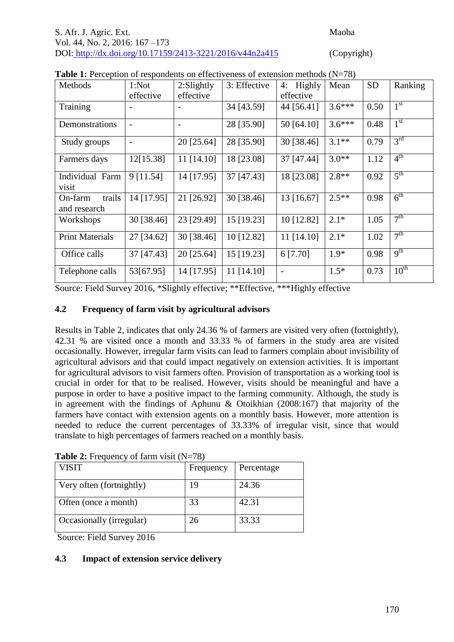|  |  |  |  | <b>Table 1:</b> Perception of respondents on effectiveness of extension methods $(N=78)$ |  |
|--|--|--|--|------------------------------------------------------------------------------------------|--|
|  |  |  |  |                                                                                          |  |

| Methods                           | 1:Not      | $2:$ Slightly | 3: Effective | 4: Highly    | Mean     | <b>SD</b> | Ranking          |
|-----------------------------------|------------|---------------|--------------|--------------|----------|-----------|------------------|
|                                   | effective  | effective     |              | effective    |          |           |                  |
| Training                          |            |               | 34 [43.59]   | 44 [56.41]   | $3.6***$ | 0.50      | 1 <sup>st</sup>  |
| Demonstrations                    |            |               | 28 [35.90]   | 50 [64.10]   | $3.6***$ | 0.48      | $1^{\rm st}$     |
| Study groups                      |            | 20 [25.64]    | 28 [35.90]   | 30 [38.46]   | $3.1**$  | 0.79      | 3 <sup>rd</sup>  |
| Farmers days                      | 12[15.38]  | $11$ [14.10]  | 18 [23.08]   | 37 [47.44]   | $3.0**$  | 1.12      | 4 <sup>th</sup>  |
| Individual Farm<br>visit          | 9[11.54]   | 14 [17.95]    | 37 [47.43]   | 18 [23.08]   | $2.8**$  | 0.92      | $5^{\text{th}}$  |
| trails<br>On-farm<br>and research | 14 [17.95] | 21 [26.92]    | 30 [38.46]   | 13 [16.67]   | $2.5**$  | 0.98      | 6 <sup>th</sup>  |
| Workshops                         | 30 [38.46] | 23 [29.49]    | 15 [19.23]   | 10 [12.82]   | $2.1*$   | 1.05      | 7 <sup>th</sup>  |
| <b>Print Materials</b>            | 27 [34.62] | 30 [38.46]    | 10 [12.82]   | $11$ [14.10] | $2.1*$   | 1.02      | 7 <sup>th</sup>  |
| Office calls                      | 37 [47.43] | 20 [25.64]    | 15 [19.23]   | 6 [7.70]     | $1.9*$   | 0.98      | 9 <sup>th</sup>  |
| Telephone calls                   | 53[67.95]  | 14 [17.95]    | $11$ [14.10] |              | $1.5*$   | 0.73      | $10^{\text{th}}$ |

Source: Field Survey 2016, \*Slightly effective; \*\*Effective, \*\*\*Highly effective

## **4.2 Frequency of farm visit by agricultural advisors**

Results in Table 2, indicates that only 24.36 % of farmers are visited very often (fortnightly), 42.31 % are visited once a month and 33.33 % of farmers in the study area are visited occasionally. However, irregular farm visits can lead to farmers complain about invisibility of agricultural advisors and that could impact negatively on extension activities. It is important for agricultural advisors to visit farmers often. Provision of transportation as a working tool is crucial in order for that to be realised. However, visits should be meaningful and have a purpose in order to have a positive impact to the farming community. Although, the study is in agreement with the findings of Aphunu & Otoikhian (2008:167) that majority of the farmers have contact with extension agents on a monthly basis. However, more attention is needed to reduce the current percentages of 33.33% of irregular visit, since that would translate to high percentages of farmers reached on a monthly basis.

| <b>VISIT</b>                      | Frequency | Percentage |
|-----------------------------------|-----------|------------|
| Very often (fortnightly)          | 19        | 24.36      |
| Often (once a month)              | 33        | 42.31      |
| Occasionally ( <i>irregular</i> ) | 26        | 33.33      |

**Table 2:** Frequency of farm visit  $(N=78)$ 

Source: Field Survey 2016

## **4.3 Impact of extension service delivery**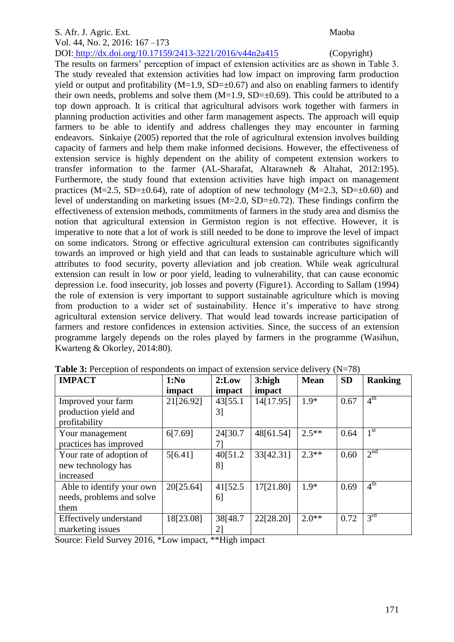#### S. Afr. J. Agric. Ext. Maoba Vol. 44, No. 2, 2016: 167 –173 DOI: http://dx.doi.org/10.17159/2413-3221/2016/v44n2a415 (Copyright)

The results on farmers' perception of impact of extension activities are as shown in Table 3. The study revealed that extension activities had low impact on improving farm production yield or output and profitability ( $M=1.9$ ,  $SD=\pm 0.67$ ) and also on enabling farmers to identify their own needs, problems and solve them  $(M=1.9, SD=\pm 0.69)$ . This could be attributed to a top down approach. It is critical that agricultural advisors work together with farmers in planning production activities and other farm management aspects. The approach will equip farmers to be able to identify and address challenges they may encounter in farming endeavors. Sinkaiye (2005) reported that the role of agricultural extension involves building capacity of farmers and help them make informed decisions. However, the effectiveness of extension service is highly dependent on the ability of competent extension workers to transfer information to the farmer (AL-Sharafat, Altarawneh & Altahat, 2012:195). Furthermore, the study found that extension activities have high impact on management practices (M=2.5, SD= $\pm$ 0.64), rate of adoption of new technology (M=2.3, SD= $\pm$ 0.60) and level of understanding on marketing issues  $(M=2.0, SD=\pm 0.72)$ . These findings confirm the effectiveness of extension methods, commitments of farmers in the study area and dismiss the notion that agricultural extension in Germiston region is not effective. However, it is imperative to note that a lot of work is still needed to be done to improve the level of impact on some indicators. Strong or effective agricultural extension can contributes significantly towards an improved or high yield and that can leads to sustainable agriculture which will attributes to food security, poverty alleviation and job creation. While weak agricultural extension can result in low or poor yield, leading to vulnerability, that can cause economic depression i.e. food insecurity, job losses and poverty (Figure1). According to Sallam (1994) the role of extension is very important to support sustainable agriculture which is moving from production to a wider set of sustainability. Hence it's imperative to have strong agricultural extension service delivery. That would lead towards increase participation of farmers and restore confidences in extension activities. Since, the success of an extension programme largely depends on the roles played by farmers in the programme (Wasihun, Kwarteng & Okorley, 2014:80).

| <b>IMPACT</b>                 | 1:N <sub>0</sub> | 2: Low   | 3:high    | <b>Mean</b> | <b>SD</b> | <b>Ranking</b>  |
|-------------------------------|------------------|----------|-----------|-------------|-----------|-----------------|
|                               | impact           | impact   | impact    |             |           |                 |
| Improved your farm            | 21[26.92]        | 43[55.1  | 14[17.95] | $1.9*$      | 0.67      | 4 <sup>th</sup> |
| production yield and          |                  | 3]       |           |             |           |                 |
| profitability                 |                  |          |           |             |           |                 |
| Your management               | 6[7.69]          | 24[30.7  | 48[61.54] | $2.5**$     | 0.64      | $1^{\rm st}$    |
| practices has improved        |                  | 71       |           |             |           |                 |
| Your rate of adoption of      | 5[6.41]          | 40[51.2] | 33[42.31] | $2.3**$     | 0.60      | 2 <sup>nd</sup> |
| new technology has            |                  | 81       |           |             |           |                 |
| increased                     |                  |          |           |             |           |                 |
| Able to identify your own     | 20[25.64]        | 41[52.5  | 17[21.80] | $1.9*$      | 0.69      | 4 <sup>th</sup> |
| needs, problems and solve     |                  | 6        |           |             |           |                 |
| them                          |                  |          |           |             |           |                 |
| <b>Effectively</b> understand | 18[23.08]        | 38[48.7  | 22[28.20] | $2.0**$     | 0.72      | 3 <sup>rd</sup> |
| marketing issues              |                  | 2]       |           |             |           |                 |

**Table 3:** Perception of respondents on impact of extension service delivery (N=78)

Source: Field Survey 2016, \*Low impact, \*\*High impact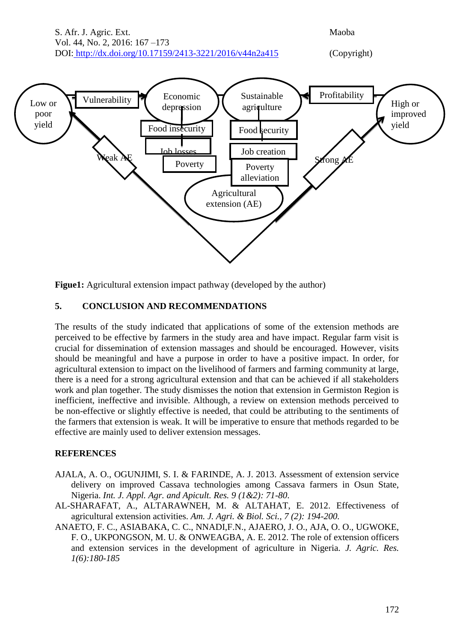S. Afr. J. Agric. Ext. Maoba Vol. 44, No. 2, 2016: 167 –173 DOI: http://dx.doi.org/10.17159/2413-3221/2016/v44n2a415 (Copyright)



**Figue1:** Agricultural extension impact pathway (developed by the author)

# **5. CONCLUSION AND RECOMMENDATIONS**

The results of the study indicated that applications of some of the extension methods are perceived to be effective by farmers in the study area and have impact. Regular farm visit is crucial for dissemination of extension massages and should be encouraged. However, visits should be meaningful and have a purpose in order to have a positive impact. In order, for agricultural extension to impact on the livelihood of farmers and farming community at large, there is a need for a strong agricultural extension and that can be achieved if all stakeholders work and plan together. The study dismisses the notion that extension in Germiston Region is inefficient, ineffective and invisible. Although, a review on extension methods perceived to be non-effective or slightly effective is needed, that could be attributing to the sentiments of the farmers that extension is weak. It will be imperative to ensure that methods regarded to be effective are mainly used to deliver extension messages.

## **REFERENCES**

- AJALA, A. O., OGUNJIMI, S. I. & FARINDE, A. J. 2013. Assessment of extension service delivery on improved Cassava technologies among Cassava farmers in Osun State, Nigeria. *Int. J. Appl. Agr. and Apicult. Res. 9 (1&2): 71-80*.
- AL-SHARAFAT, A., ALTARAWNEH, M. & ALTAHAT, E. 2012. Effectiveness of agricultural extension activities. *Am. J. Agri. & Biol. Sci., 7 (2): 194-200.*
- ANAETO, F. C., ASIABAKA, C. C., NNADI,F.N., AJAERO, J. O., AJA, O. O., UGWOKE, F. O., UKPONGSON, M. U. & ONWEAGBA, A. E. 2012. The role of extension officers and extension services in the development of agriculture in Nigeria. *J. Agric. Res. 1(6):180-185*